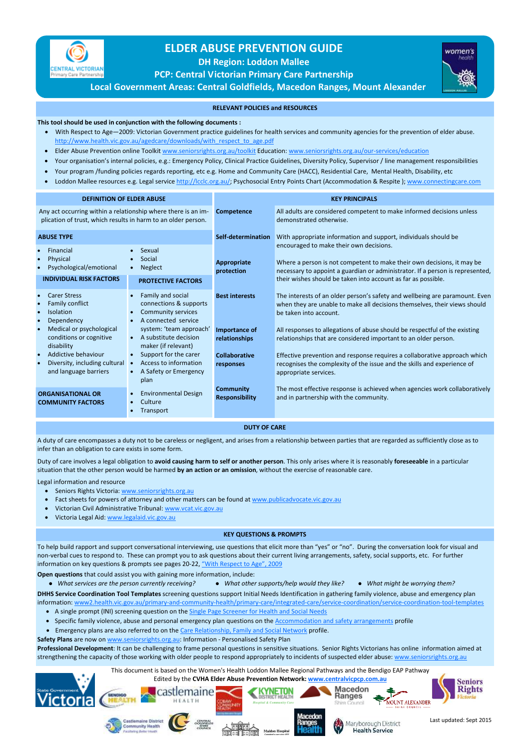

## **ELDER ABUSE PREVENTION GUIDE**

**DH Region: Loddon Mallee** 

**PCP: Central Victorian Primary Care Partnership** 



women's

**Local Government Areas: Central Goldfields, Macedon Ranges, Mount Alexander** 

- With Respect to Age—2009: Victorian Government practice guidelines for health services and community agencies for the prevention of elder abuse. http://www.health.vic.gov.au/agedcare/downloads/with\_respect\_to\_age.pdf
- Elder Abuse Prevention online Toolkit www.seniorsrights.org.au/toolkit Education: www.seniorsrights.org.au/our-services/education
- Your organisation's internal policies, e.g.: Emergency Policy, Clinical Practice Guidelines, Diversity Policy, Supervisor / line management responsibilities
- Your program /funding policies regards reporting, etc e.g. Home and Community Care (HACC), Residential Care, Mental Health, Disability, etc
- Loddon Mallee resources e.g. Legal service http://lcclc.org.au/; Psychosocial Entry Points Chart (Accommodation & Respite); www.connectingcare.com

To help build rapport and support conversational interviewing, use questions that elicit more than "yes" or "no". During the conversation look for visual and non-verbal cues to respond to. These can prompt you to ask questions about their current living arrangements, safety, social supports, etc. For further information on key questions & prompts see pages 20-22, "With Respect to Age", 2009

## **This tool should be used in conjunction with the following documents :**

- A single prompt (INI) screening question on the **Single Page Screener for Health and Social Needs**
- Specific family violence, abuse and personal emergency plan questions on the Accommodation and safety arrangements profile
- Emergency plans are also referred to on the Care Relationship, Family and Social Network profile.

**Professional Development**: It can be challenging to frame personal questions in sensitive situations. Senior Rights Victorians has online information aimed at strengthening the capacity of those working with older people to respond appropriately to incidents of suspected elder abuse: www.seniorsrights.org.au

## **RELEVANT POLICIES and RESOURCES**

- Seniors Rights Victoria: www.seniorsrights.org.au
- Fact sheets for powers of attorney and other matters can be found at www.publicadvocate.vic.gov.au
- Victorian Civil Administrative Tribunal: www.vcat.vic.gov.au
- Victoria Legal Aid: www.legalaid.vic.gov.au



**Open questions** that could assist you with gaining more information, include:

*What services are the person currently receiving? What other supports/help would they like? What might be worrying them?* 

**DHHS Service Coordination Tool Templates** screening questions support Initial Needs Identification in gathering family violence, abuse and emergency plan

| <b>DEFINITION OF ELDER ABUSE</b>                                                                                               |                                                                                                                                        | <b>KEY PRINCIPALS</b>                     |                                                                                                                                                                                                    |
|--------------------------------------------------------------------------------------------------------------------------------|----------------------------------------------------------------------------------------------------------------------------------------|-------------------------------------------|----------------------------------------------------------------------------------------------------------------------------------------------------------------------------------------------------|
| Any act occurring within a relationship where there is an im-<br>plication of trust, which results in harm to an older person. |                                                                                                                                        | <b>Competence</b>                         | All adults are considered competent to make informed decisions unless<br>demonstrated otherwise.                                                                                                   |
| <b>ABUSE TYPE</b>                                                                                                              |                                                                                                                                        | Self-determination                        | With appropriate information and support, individuals should be                                                                                                                                    |
| Financial<br>$\bullet$<br>Physical<br>Psychological/emotional                                                                  | Sexual<br>$\bullet$<br>Social<br><b>Neglect</b><br>$\bullet$                                                                           | Appropriate<br>protection                 | encouraged to make their own decisions.<br>Where a person is not competent to make their own decisions, it may be<br>necessary to appoint a guardian or administrator. If a person is represented, |
| <b>INDIVIDUAL RISK FACTORS</b>                                                                                                 | <b>PROTECTIVE FACTORS</b>                                                                                                              |                                           | their wishes should be taken into account as far as possible.                                                                                                                                      |
| <b>Carer Stress</b><br>Family conflict<br><b>Isolation</b><br>Dependency                                                       | Family and social<br>$\bullet$<br>connections & supports<br><b>Community services</b><br>$\bullet$<br>A connected service<br>$\bullet$ | <b>Best interests</b>                     | The interests of an older person's safety and wellbeing are paramount. Even<br>when they are unable to make all decisions themselves, their views should<br>be taken into account.                 |
| Medical or psychological<br>conditions or cognitive<br>disability                                                              | system: 'team approach'<br>A substitute decision<br>maker (if relevant)                                                                | <b>Importance of</b><br>relationships     | All responses to allegations of abuse should be respectful of the existing<br>relationships that are considered important to an older person.                                                      |
| Addictive behaviour<br>$\bullet$<br>Diversity, including cultural<br>$\bullet$<br>and language barriers                        | Support for the carer<br>$\bullet$<br>Access to information<br>$\bullet$<br>A Safety or Emergency<br>$\bullet$<br>plan                 | <b>Collaborative</b><br>responses         | Effective prevention and response requires a collaborative approach which<br>recognises the complexity of the issue and the skills and experience of<br>appropriate services.                      |
| <b>ORGANISATIONAL OR</b><br><b>COMMUNITY FACTORS</b>                                                                           | <b>Environmental Design</b><br>$\bullet$<br>Culture<br>$\bullet$<br>Transport<br>$\bullet$                                             | <b>Community</b><br><b>Responsibility</b> | The most effective response is achieved when agencies work collaboratively<br>and in partnership with the community.                                                                               |

information: www2.health.vic.gov.au/primary-and-community-health/primary-care/integrated-care/service-coordination/service-coordination-tool-templates

**Safety Plans** are now on www.seniorsrights.org.au: Information - Personalised Safety Plan

## **KEY QUESTIONS & PROMPTS**

A duty of care encompasses a duty not to be careless or negligent, and arises from a relationship between parties that are regarded as sufficiently close as to infer than an obligation to care exists in some form.

Duty of care involves a legal obligation to **avoid causing harm to self or another person**. This only arises where it is reasonably **foreseeable** in a particular situation that the other person would be harmed **by an action or an omission**, without the exercise of reasonable care.

Legal information and resource

**DUTY OF CARE**